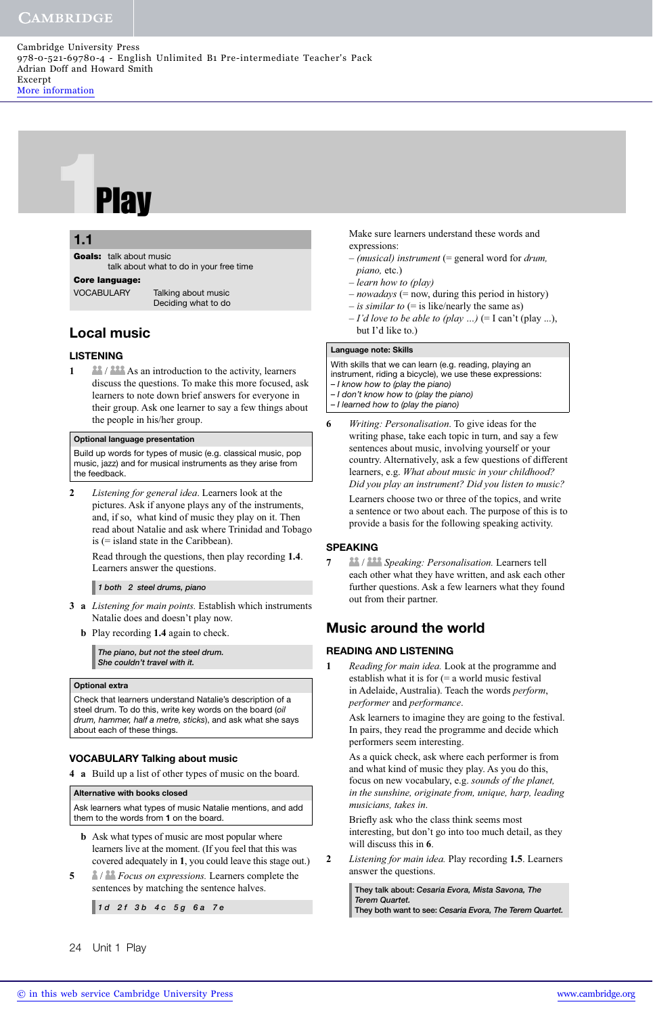# **1.1**<br>Goals: talk about r<br>Core language:

## **5.1 1.1**

**Goals:** talk about music talk about what to do in your free time

**VOCABULARY** 

Talking about music Deciding what to do

# **Local music**

### **LISTENING**

**1 1 1 As** *As* an introduction to the activity, learners discuss the questions. To make this more focused, ask learners to note down brief answers for everyone in their group. Ask one learner to say a few things about the people in his/her group.

### **Optional language presentation**

Build up words for types of music (e.g. classical music, pop music, jazz) and for musical instruments as they arise from the feedback.

**2** *Listening for general idea*. Learners look at the pictures. Ask if anyone plays any of the instruments, and, if so, what kind of music they play on it. Then read about Natalie and ask where Trinidad and Tobago is (= island state in the Caribbean).

Read through the questions, then play recording **1.4**. Learners answer the questions.

*1 both 2 steel drums, piano*

- **3 a** *Listening for main points.* Establish which instruments Natalie does and doesn't play now.
	- **b** Play recording **1.4** again to check.

*The piano, but not the steel drum. She couldn't travel with it.*

### **Optional extra**

Check that learners understand Natalie's description of a steel drum. To do this, write key words on the board (oil drum, hammer, half a metre, sticks), and ask what she says about each of these things.

# **VOCABULARY Talking about music**

**4 a** Build up a list of other types of music on the board.

### **Alternative with books closed**

Ask learners what types of music Natalie mentions, and add them to the words from **1** on the board.

- **b** Ask what types of music are most popular where learners live at the moment. (If you feel that this was covered adequately in **1**, you could leave this stage out.)
- **5** / *Focus on expressions.* Learners complete the sentences by matching the sentence halves.

*1 d 2 f 3 b 4 c 5 g 6 a 7 e*

24 Unit 1 Play

Make sure learners understand these words and expressions:

- *(musical) instrument* (= general word for *drum, piano,* etc.)
- *learn how to (play)*
- *nowadays* (= now, during this period in history)
- *is similar to* (= is like/nearly the same as)
- $-I'$ *d love to be able to (play ...)* (= I can't (play ...), but I'd like to.)

### **Language note: Skills**

With skills that we can learn (e.g. reading, playing an instrument, riding a bicycle), we use these expressions: – I know how to (play the piano) – I don't know how to (play the piano)

- I learned how to (play the piano)
- **6** *Writing: Personalisation*. To give ideas for the writing phase, take each topic in turn, and say a few sentences about music, involving yourself or your country. Alternatively, ask a few questions of different learners, e.g. *What about music in your childhood? Did you play an instrument? Did you listen to music?* Learners choose two or three of the topics, and write a sentence or two about each. The purpose of this is to provide a basis for the following speaking activity.

### **SPEAKING**

**7** / *Speaking: Personalisation.* Learners tell each other what they have written, and ask each other further questions. Ask a few learners what they found out from their partner.

# **Music around the world**

### **READING AND LISTENING**

**1** *Reading for main idea.* Look at the programme and establish what it is for (= a world music festival in Adelaide, Australia). Teach the words *perform*, *performer* and *performance*.

Ask learners to imagine they are going to the festival. In pairs, they read the programme and decide which performers seem interesting.

As a quick check, ask where each performer is from and what kind of music they play. As you do this, focus on new vocabulary, e.g. *sounds of the planet, in the sunshine, originate from, unique, harp, leading musicians, takes in*.

Briefly ask who the class think seems most interesting, but don't go into too much detail, as they will discuss this in **6**.

**2** *Listening for main idea.* Play recording **1.5**. Learners answer the questions.

> **They talk about:** *Cesaria Evora, Mista Savona, The Terem Quartet.* **They both want to see:** *Cesaria Evora, The Terem Quartet.*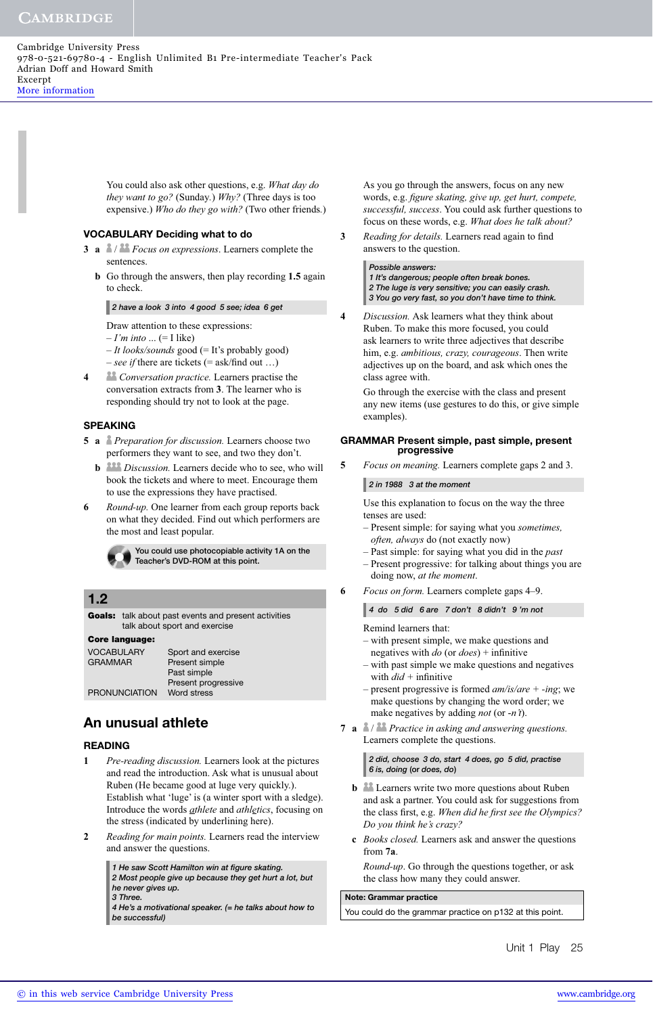# **CAMBRIDGE**

You could also ask other questions, e.g. *What day do they want to go?* (Sunday*.*) *Why?* (Three days is too expensive.) *Who do they go with?* (Two other friends*.*)

### **VOCABULARY Deciding what to do**

- **3 a** / *Focus on expressions*. Learners complete the sentences.
	- **b** Go through the answers, then play recording **1.5** again to check.

*2 have a look 3 into 4 good 5 see; idea 6 get*

Draw attention to these expressions:

- $-I'm$  *into* ... (= I like)
- *It looks/sounds* good (= It's probably good)  $-$  *see if* there are tickets (= ask/find out ...)
- **4** *Conversation practice.* Learners practise the conversation extracts from **3**. The learner who is responding should try not to look at the page.

### **SPEAKING**

- **5 a** *Preparation for discussion.* Learners choose two performers they want to see, and two they don't.
	- **b dom** *Discussion*. Learners decide who to see, who will book the tickets and where to meet. Encourage them to use the expressions they have practised.
- **6** *Round-up.* One learner from each group reports back on what they decided. Find out which performers are the most and least popular.

**You could use photocopiable activity 1A on the Teacher's DVD-ROM at this point.** 

### **1.2**

**Goals:** talk about past events and present activities talk about sport and exercise

### **Core language:**

| VOCABULARY           | Sport and exercise  |
|----------------------|---------------------|
| GRAMMAR              | Present simple      |
|                      | Past simple         |
|                      | Present progressive |
| <b>PRONUNCIATION</b> | Word stress         |
|                      |                     |

# **An unusual athlete**

### **READING**

- **1** *Pre-reading discussion.* Learners look at the pictures and read the introduction. Ask what is unusual about Ruben (He became good at luge very quickly.). Establish what 'luge' is (a winter sport with a sledge). Introduce the words *athlete* and *athletics*, focusing on the stress (indicated by underlining here).
- **2** *Reading for main points.* Learners read the interview and answer the questions.

*1 He saw Scott Hamilton win at fi gure skating. 2 Most people give up because they get hurt a lot, but* 

*he never gives up.*

*3 Three.* 

*4 He's a motivational speaker. (= he talks about how to be successful)*

As you go through the answers, focus on any new words, e.g. *figure skating, give up, get hurt, compete, successful, success*. You could ask further questions to focus on these words, e.g. *What does he talk about?*

**3** *Reading for details*. Learners read again to find answers to the question.

> *Possible answers: 1 It's dangerous; people often break bones. 2 The luge is very sensitive; you can easily crash. 3 You go very fast, so you don't have time to think.*

**4** *Discussion.* Ask learners what they think about Ruben. To make this more focused, you could ask learners to write three adjectives that describe him, e.g. *ambitious, crazy, courageous*. Then write adjectives up on the board, and ask which ones the class agree with.

Go through the exercise with the class and present any new items (use gestures to do this, or give simple examples).

### **GRAMMAR Present simple, past simple, present progressive**

**5** *Focus on meaning.* Learners complete gaps 2 and 3.

*2 in 1988 3 at the moment*

Use this explanation to focus on the way the three tenses are used:

- Present simple: for saying what you *sometimes, often, always* do (not exactly now)
- Past simple: for saying what you did in the *past*
- Present progressive: for talking about things you are doing now, *at the moment*.

**6** *Focus on form.* Learners complete gaps 4–9.

*4 do 5 did 6 are 7 don't 8 didn't 9 'm not*

Remind learners that:

- with present simple, we make questions and negatives with  $do$  (or  $does$ ) + infinitive
- with past simple we make questions and negatives with  $did +$  infinitive
- present progressive is formed *am/is/are + -ing*; we make questions by changing the word order; we make negatives by adding *not* (or -*n't*).
- **7 a** / *Practice in asking and answering questions.* Learners complete the questions.

*2 did, choose 3 do, start 4 does, go 5 did, practise 6 is, doing* **(or** *does, do***)**

- **b L**earners write two more questions about Ruben and ask a partner. You could ask for suggestions from the class first, e.g. When did he first see the Olympics? *Do you think he's crazy?*
- **c** *Books closed.* Learners ask and answer the questions from **7a**.

*Round-up*. Go through the questions together, or ask the class how many they could answer.

### **Note: Grammar practice**

You could do the grammar practice on p132 at this point.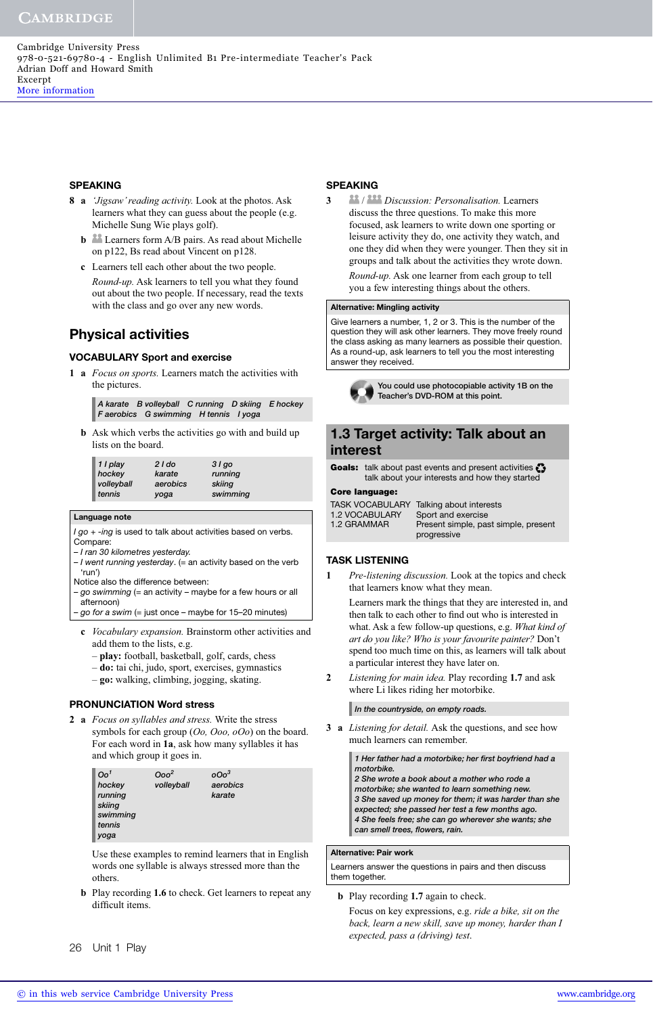### **SPEAKING**

- **8 a** *'Jigsaw' reading activity.* Look at the photos. Ask learners what they can guess about the people (e.g. Michelle Sung Wie plays golf).
	- **b b** Learners form A/B pairs. As read about Michelle on p122, Bs read about Vincent on p128.
	- **c** Learners tell each other about the two people. *Round-up.* Ask learners to tell you what they found out about the two people. If necessary, read the texts with the class and go over any new words.

# **Physical activities**

### **VOCABULARY Sport and exercise**

**1 a** *Focus on sports.* Learners match the activities with the pictures.

| A karate B volleyball C running D skiing E hockey |  |  |
|---------------------------------------------------|--|--|
| Faerobics G swimming H tennis I yoga              |  |  |

 **b** Ask which verbs the activities go with and build up lists on the board.

| 1 I play   | $2$ I do | $31q$ o  |
|------------|----------|----------|
| hockey     | karate   | running  |
| volleyball | aerobics | skiing   |
| tennis     | yoga     | swimming |

### **Language note**

I go + -ing is used to talk about activities based on verbs. Compare:

- I ran 30 kilometres yesterday.
- $-1$  went running yesterday. (= an activity based on the verb 'run')
- Notice also the difference between:
- $-g$ o swimming (= an activity maybe for a few hours or all afternoon)
- go for a swim (= just once maybe for 15–20 minutes)
- **c** *Vocabulary expansion.* Brainstorm other activities and add them to the lists, e.g.
	- **play:** football, basketball, golf, cards, chess
	- **do:** tai chi, judo, sport, exercises, gymnastics
	- **go:** walking, climbing, jogging, skating.

### **PRONUNCIATION Word stress**

**2 a** *Focus on syllables and stress.* Write the stress symbols for each group (*Oo, Ooo, oOo*) on the board. For each word in **1a**, ask how many syllables it has and which group it goes in.

| $Oo^1$   | Ooo <sup>2</sup> | $00o^3$  |
|----------|------------------|----------|
| hockey   | volleyball       | aerobics |
| running  |                  | karate   |
| skiing   |                  |          |
| swimming |                  |          |
| tennis   |                  |          |
| yoga     |                  |          |

Use these examples to remind learners that in English words one syllable is always stressed more than the others.

 **b** Play recording **1.6** to check. Get learners to repeat any difficult items.

### **SPEAKING**

**3** / *Discussion: Personalisation.* Learners discuss the three questions. To make this more focused, ask learners to write down one sporting or leisure activity they do, one activity they watch, and one they did when they were younger. Then they sit in groups and talk about the activities they wrote down. *Round-up.* Ask one learner from each group to tell you a few interesting things about the others.

### **Alternative: Mingling activity**

Give learners a number, 1, 2 or 3. This is the number of the question they will ask other learners. They move freely round the class asking as many learners as possible their question. As a round-up, ask learners to tell you the most interesting answer they received.



**You could use photocopiable activity 1B on the Teacher's DVD-ROM at this point.** 

# **1.3 Target activity: Talk about an interest**

Goals: talk about past events and present activities  $\ddot{\ddot{\cdot}}$ talk about your interests and how they started

### **Core language: Core language:**

|                       | TASK VOCABULARY Talking about interests |
|-----------------------|-----------------------------------------|
| <b>1.2 VOCABULARY</b> | Sport and exercise                      |
| 1.2 GRAMMAR           | Present simple, past simple, present    |
|                       | progressive                             |

### **TASK LISTENING**

**1** *Pre-listening discussion.* Look at the topics and check that learners know what they mean.

Learners mark the things that they are interested in, and then talk to each other to find out who is interested in what. Ask a few follow-up questions, e.g. *What kind of art do you like? Who is your favourite painter?* Don't spend too much time on this, as learners will talk about a particular interest they have later on.

**2** *Listening for main idea.* Play recording **1.7** and ask where Li likes riding her motorbike.

### *In the countryside, on empty roads.*

**3 a** *Listening for detail.* Ask the questions, and see how much learners can remember.

> 1 Her father had a motorbike; her first boyfriend had a *motorbike. 2 She wrote a book about a mother who rode a motorbike; she wanted to learn something new. 3 She saved up money for them; it was harder than she expected; she passed her test a few months ago. 4 She feels free; she can go wherever she wants; she*  can smell trees, flowers, rain.

### **Alternative: Pair work**

Learners answer the questions in pairs and then discuss them together.

### **b** Play recording **1.7** again to check.

Focus on key expressions, e.g. *ride a bike, sit on the back, learn a new skill, save up money, harder than I expected, pass a (driving) test*.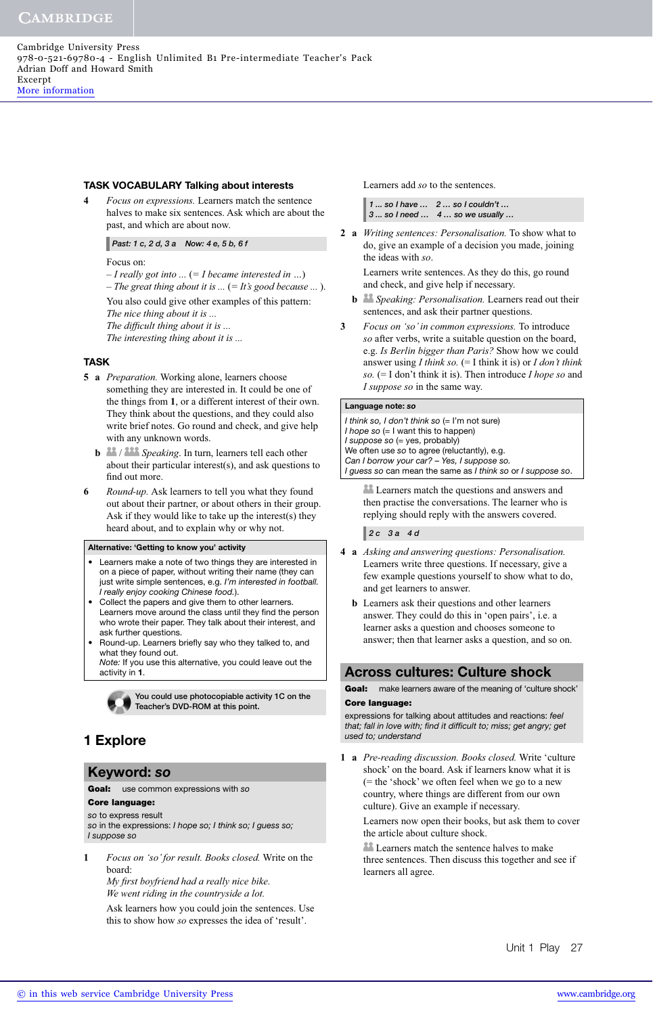### **TASK VOCABULARY Talking about interests**

**4** *Focus on expressions.* Learners match the sentence halves to make six sentences. Ask which are about the past, and which are about now.

### *Past: 1 c, 2 d, 3 a Now: 4 e, 5 b, 6 f*

### Focus on:

– *I really got into ...* (*= I became interested in …*)

– *The great thing about it is ...* (*= It's good because ...* ). You also could give other examples of this pattern:

*The nice thing about it is ...*

*The difficult thing about it is ...* 

*The interesting thing about it is ...*

### **TASK**

- **5 a** *Preparation.* Working alone, learners choose something they are interested in. It could be one of the things from **1**, or a different interest of their own. They think about the questions, and they could also write brief notes. Go round and check, and give help with any unknown words.
	- **b Speaking**. In turn, learners tell each other about their particular interest(s), and ask questions to find out more.
- **6** *Round-up.* Ask learners to tell you what they found out about their partner, or about others in their group. Ask if they would like to take up the interest(s) they heard about, and to explain why or why not.

### **Alternative: 'Getting to know you' activity**

- Learners make a note of two things they are interested in on a piece of paper, without writing their name (they can just write simple sentences, e.g. I'm interested in football. I really enjoy cooking Chinese food.).
- Collect the papers and give them to other learners. Learners move around the class until they find the person who wrote their paper. They talk about their interest, and ask further questions.
- Round-up. Learners briefly say who they talked to, and what they found out.

Note: If you use this alternative, you could leave out the activity in **1**.



**You could use photocopiable activity 1C on the Teacher's DVD-ROM at this point.** 

# **1 Explore**

### **Keyword:** *so*

**Goal:** use common expressions with so<br>**Core language:** 

**Core language:** so to express result

so in the expressions: I hope so; I think so; I guess so; I suppose so

**1** *Focus on 'so' for result. Books closed.* Write on the board:

*My first boyfriend had a really nice bike. We went riding in the countryside a lot.*

Ask learners how you could join the sentences. Use this to show how *so* expresses the idea of 'result'.

Learners add *so* to the sentences.

| $\parallel$ 1  so I have  2  so I couldn't |
|--------------------------------------------|
| $\vert$ 3  so I need  4  so we usually     |

**2 a** *Writing sentences: Personalisation.* To show what to do, give an example of a decision you made, joining the ideas with *so*.

Learners write sentences. As they do this, go round and check, and give help if necessary.

- **b** <sup>22</sup> *Speaking: Personalisation.* Learners read out their sentences, and ask their partner questions.
- **3** *Focus on 'so' in common expressions.* To introduce *so* after verbs, write a suitable question on the board, e.g. *Is Berlin bigger than Paris?* Show how we could answer using *I think so.* (= I think it is) or *I don't think so.* (= I don't think it is). Then introduce *I hope so* and *I suppose so* in the same way.

### **Language note:** *so*

I think so, I don't think so  $(= I'm not sure)$ I hope so  $(= I$  want this to happen)  $I$  suppose so  $(=$  yes, probably) We often use so to agree (reluctantly), e.g. Can I borrow your car? – Yes, I suppose so. I guess so can mean the same as I think so or I suppose so.

22 Learners match the questions and answers and then practise the conversations. The learner who is replying should reply with the answers covered.

*2 c 3 a 4 d*

- **4 a** *Asking and answering questions: Personalisation.*  Learners write three questions. If necessary, give a few example questions yourself to show what to do, and get learners to answer.
	- **b** Learners ask their questions and other learners answer. They could do this in 'open pairs', i.e. a learner asks a question and chooses someone to answer; then that learner asks a question, and so on.

### **Across cultures: Culture shock**

Goal: make learners aware of the meaning of 'culture shock'<br>Core language:

**Expressions for talking about attitudes and reactions: feel** that; fall in love with; find it difficult to; miss; get angry; get used to; understand

**1 a** *Pre-reading discussion. Books closed.* Write 'culture shock' on the board. Ask if learners know what it is (= the 'shock' we often feel when we go to a new country, where things are different from our own culture). Give an example if necessary.

Learners now open their books, but ask them to cover the article about culture shock.

**Learners match the sentence halves to make** three sentences. Then discuss this together and see if learners all agree.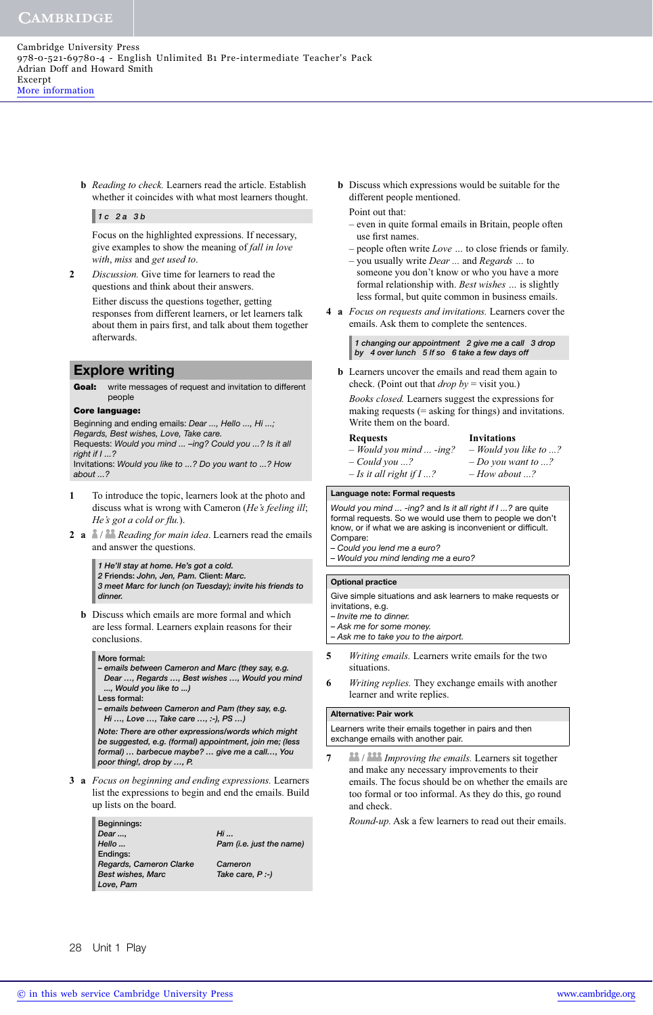**b** *Reading to check.* Learners read the article. Establish whether it coincides with what most learners thought.

### *1 c 2 a 3 b*

Focus on the highlighted expressions. If necessary, give examples to show the meaning of *fall in love with*, *miss* and *get used to*.

**2** *Discussion.* Give time for learners to read the questions and think about their answers. Either discuss the questions together, getting responses from different learners, or let learners talk about them in pairs first, and talk about them together afterwards.

### **Explore writing**

**Goal:** write messages of request and invitation to different people

### **Core language:**

**Core 2.**<br>Beginning and ending emails: Dear ..., Hello ..., Hi ...; Regards, Best wishes, Love, Take care. Requests: Would you mind ... -ing? Could you ...? Is it all right if  $I \ldots ?$ Invitations: Would you like to ...? Do you want to ...? How about ...?

- **1** To introduce the topic, learners look at the photo and discuss what is wrong with Cameron (*He's feeling ill*; *He's got a cold or flu.*).
- **2 a** / *Reading for main idea*. Learners read the emails and answer the questions.

*1 He'll stay at home. He's got a cold.*

*2* **Friends:** *John, Jen, Pam.* **Client:** *Marc. 3 meet Marc for lunch (on Tuesday); invite his friends to dinner.*

**b** Discuss which emails are more formal and which are less formal. Learners explain reasons for their conclusions.

### **More formal:**

*– emails between Cameron and Marc (they say, e.g. Dear …, Regards …, Best wishes …, Would you mind ..., Would you like to ...)*

**Less formal:** 

*– emails between Cameron and Pam (they say, e.g. Hi …, Love …, Take care …, :-), PS …)*

*Note: There are other expressions/words which might be suggested, e.g. (formal) appointment, join me; (less formal) … barbecue maybe? … give me a call…, You poor thing!, drop by …, P.*

**3 a** *Focus on beginning and ending expressions.* Learners list the expressions to begin and end the emails. Build up lists on the board.

| $Hi \dots$               |
|--------------------------|
| Pam (i.e. just the name) |
|                          |
| Cameron                  |
| Take care, $P:$ )        |
|                          |
|                          |

 **b** Discuss which expressions would be suitable for the different people mentioned.

### Point out that:

- even in quite formal emails in Britain, people often use first names.
- people often write *Love …* to close friends or family. – you usually write *Dear ...* and *Regards …* to
- someone you don't know or who you have a more formal relationship with. *Best wishes …* is slightly less formal, but quite common in business emails.
- **4 a** *Focus on requests and invitations.* Learners cover the emails. Ask them to complete the sentences.

### *1 changing our appointment 2 give me a call 3 drop by 4 over lunch 5 If so 6 take a few days off*

 **b** Learners uncover the emails and read them again to check. (Point out that *drop by* = visit you.)

*Books closed.* Learners suggest the expressions for making requests (= asking for things) and invitations. Write them on the board.

### **Requests Invitations**

# *– Would you mind ... -ing? – Would you like to ...?*

*– Could you ...? – Do you want to ...? – Is it all right if I ...? – How about ...?*

### **Language note: Formal requests**

Would you mind ... -ing? and Is it all right if I ...? are quite formal requests. So we would use them to people we don't know, or if what we are asking is inconvenient or difficult. Compare: – Could you lend me a euro?

– Would you mind lending me a euro?

### **Optional practice**

Give simple situations and ask learners to make requests or invitations, e.g. – Invite me to dinner.

- Ask me for some money.
- Ask me to take you to the airport.
- **5** *Writing emails.* Learners write emails for the two situations.
- **6** *Writing replies.* They exchange emails with another learner and write replies.

### **Alternative: Pair work**

Learners write their emails together in pairs and then exchange emails with another pair.

**7** / *Improving the emails.* Learners sit together and make any necessary improvements to their emails. The focus should be on whether the emails are too formal or too informal. As they do this, go round and check.

*Round-up.* Ask a few learners to read out their emails.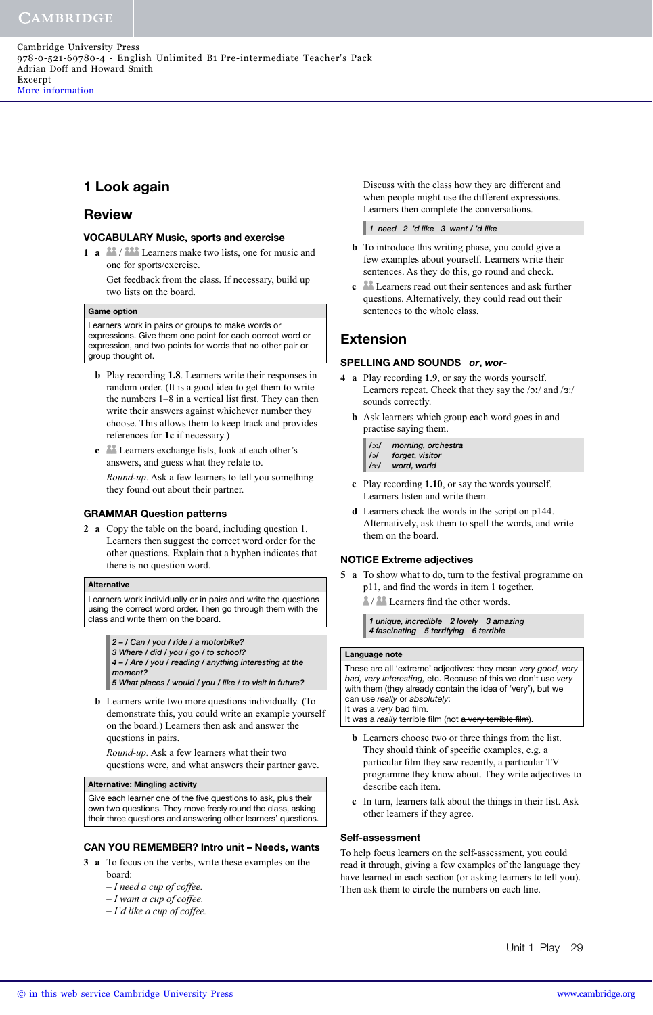# **1 Look again**

# **Review**

### **VOCABULARY Music, sports and exercise**

**1 a** 2<sup>2</sup>/<sub>2</sub><sup>22</sup> Learners make two lists, one for music and one for sports/exercise.

Get feedback from the class. If necessary, build up two lists on the board.

### **Game option**

Learners work in pairs or groups to make words or expressions. Give them one point for each correct word or expression, and two points for words that no other pair or group thought of.

- **b** Play recording **1.8**. Learners write their responses in random order. (It is a good idea to get them to write the numbers  $1-8$  in a vertical list first. They can then write their answers against whichever number they choose. This allows them to keep track and provides references for **1c** if necessary.)
- **c** Learners exchange lists, look at each other's answers, and guess what they relate to.

*Round-up*. Ask a few learners to tell you something they found out about their partner.

### **GRAMMAR Question patterns**

**2 a** Copy the table on the board, including question 1. Learners then suggest the correct word order for the other questions. Explain that a hyphen indicates that there is no question word.

### **Alternative**

Learners work individually or in pairs and write the questions using the correct word order. Then go through them with the class and write them on the board.

*2 – / Can / you / ride / a motorbike?*

*3 Where / did / you / go / to school? 4 – / Are / you / reading / anything interesting at the* 

*moment? 5 What places / would / you / like / to visit in future?*

 **b** Learners write two more questions individually. (To demonstrate this, you could write an example yourself on the board.) Learners then ask and answer the questions in pairs.

*Round-up.* Ask a few learners what their two questions were, and what answers their partner gave.

### **Alternative: Mingling activity**

Give each learner one of the five questions to ask, plus their own two questions. They move freely round the class, asking their three questions and answering other learners' questions.

### **CAN YOU REMEMBER? Intro unit – Needs, wants**

- **3 a** To focus on the verbs, write these examples on the board:
	- *I need a cup of coffee.*
	- *I want a cup of coffee.*
	- *I'd like a cup of coffee.*

Discuss with the class how they are different and when people might use the different expressions. Learners then complete the conversations.

*1 need 2 'd like 3 want / 'd like*

- **b** To introduce this writing phase, you could give a few examples about yourself. Learners write their sentences. As they do this, go round and check.
- **c** Learners read out their sentences and ask further questions. Alternatively, they could read out their sentences to the whole class.

# **Extension**

### **SPELLING AND SOUNDS** *or***,** *wor***-**

- **4 a** Play recording **1.9**, or say the words yourself. Learners repeat. Check that they say the /ɔː/ and /ɜː/ sounds correctly.
	- **b** Ask learners which group each word goes in and practise saying them.
		- */*ɔ-*/ morning, orchestra*
		- */*ə*/ forget, visitor*
		- */*:*/ word, world*
	- **c** Play recording **1.10**, or say the words yourself. Learners listen and write them.
	- **d** Learners check the words in the script on p144. Alternatively, ask them to spell the words, and write them on the board.

### **NOTICE Extreme adjectives**

- **5 a** To show what to do, turn to the festival programme on p11, and find the words in item 1 together.
	- $\frac{2}{3}$  /  $\frac{22}{10}$  Learners find the other words.

*1 unique, incredible 2 lovely 3 amazing 4 fascinating 5 terrifying 6 terrible*

### **Language note**

These are all 'extreme' adjectives: they mean very good, very bad, very interesting, etc. Because of this we don't use very with them (they already contain the idea of 'very'), but we can use really or absolutely: It was a very bad film.

- It was a really terrible film (not a very terrible film).
- **b** Learners choose two or three things from the list. They should think of specific examples, e.g. a particular film they saw recently, a particular TV programme they know about. They write adjectives to describe each item.
- **c** In turn, learners talk about the things in their list. Ask other learners if they agree.

### **Self-assessment**

To help focus learners on the self-assessment, you could read it through, giving a few examples of the language they have learned in each section (or asking learners to tell you). Then ask them to circle the numbers on each line.